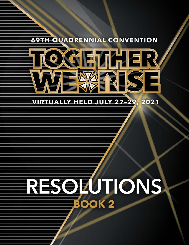# **69TH QUADRENNIAL CONVENTION**



# **VIRTUALLY HELD JULY 27-29** 2021

# **RESOLUTIONS BOOK 2**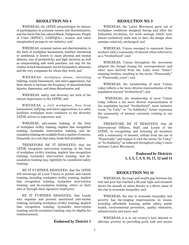# **RESOLUTION NO. 8**

WHEREAS, the IATSE acknowledges its history of participation in systemic racism and discrimination, and the harm this has caused Black, Indigenous, People of Color (BIPOC), LGBTQIA+, women and other marginalized groups in our industry; and

WHEREAS, systemic racism and discrimination, in the form of workplace harassment, whether intentional or accidental, is known to cause physical and mental distress, loss of productivity, and high turnover, as well as compromising safe work practices, not only for the victims of such harassment, but for bystanders, witnesses and the very companies for whom they work; and

WHEREAS, workplace abuse, including bullying, sexual harassment, and micro-aggressions, has been shown to increase the frequency of musculoskeletal injuries, depression, and sleep disturbances; and

WHEREAS, safety and diversity are both of the utmost importance to the IATSE; and

WHEREAS, a civil workplace, free from harassment, bullying, and micro-aggressions, is a safer, healthier workplace more conducive to the diversity IATSE strives to represent; and

WHEREAS, anti-racism training, in the form of workplace civility training, implicit bias recognition training, bystander intervention training, and deescalation training are available from a number of sources, frequently at a cost that many locals find prohibitive;

THEREFORE BE IT RESOLVED, that the IATSE recognizes anti-racism training, in the form of workplace civility training, implicit bias recognition training, bystander intervention training, and deescalation training may rightfully be considered safety training;

BE IT FURTHER RESOLVED, that the IATSE will encourage all Local Unions to pursue anti-racism training, including workplace civility training, implicit bias recognition training, bystander intervention training, and de-escalation training, either on their own or through their signatory employers;

BE IT FURTHER RESOLVED, that Locals who organize and present sanctioned anti-racism training, including workplace civility training, implicit bias recognition training, bystander intervention training, and de-escalation training, may be eligible for reimbursement.

#### **Endorsed by District 1**

#### **RESOLUTION NO. 9**

WHEREAS, the Labor Movement grew out of workplace conditions designed during and after the Industrial revolution, for work settings which were almost exclusively male and, to date, the design often remains relatively unchanged; and

WHEREAS, Unions emerged to represent those workers with a community of interest often referred to as a "brotherhood"; and

WHEREAS, Unions throughout the movement adopted the formal closing for correspondence and other uses derived from the Latin word "frater" meaning brother, resulting in the terms "Fraternally" or "Fraternally yours"; and

WHEREAS, the membership of most Unions today reflects a far more diverse representation of the population beyond "brotherhood"; and

 WHEREAS, the membership of most Unions today reflects a far more diverse representation of the population beyond "brotherhood", more inclusive terms "In Unity" or "In Solidarity," better expresses the community of interest currently existing in our Unions;

THEREFORE BE IT RESOLVED, that all International Officers, Staff, and Locals of the IATSE, in recognizing and honoring all members with a community of interest, refrain from the use of "Fraternally" and replace it with the terms "In Unity," or "In Solidarity" as reflected throughout today's more inclusive Labor Movement.

# **Endorsed by Districts 1, 3, 5, 7, 8, 9, 10, 11, 12 and 14**

# **RESOLUTION NO. 10**

WHEREAS, the wage and wealth gap between the rich and poor has reached a 50-year high, and research shows the assault on union density is a direct cause of the rise in economic inequality; and

WHEREAS, the rise in economic inequality and poverty has far-ranging repercussions on issues, including affordable housing, public safety, public health, environmental protection, quality education, infrastructure and more; and

WHEREAS, it is in our society's best interest to alleviate poverty by providing good, safe and secure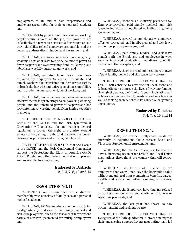employment to all, and to hold corporations and employers accountable for their actions and conduct; and

WHEREAS, by joining together in a union, working people secure a voice on the job, the power to act collectively, the power to negotiate a fair return on our work, the ability to hold employers accountable, and the power to address discrimination and harassment; and

WHEREAS, corporate interests have surgically weakened our labor laws to tilt the balance of power to favor corporations over working families, leaving our labor laws woefully outdated and weak; and

WHEREAS, outdated labor laws have been exploited by employers to coerce, intimidate and punish workers for exercising our democratic rights, to break the law with impunity, to avoid accountability, and to erode the democratic rights of workers; and

WHEREAS, our labor laws no longer serve as an effective means for protecting and empowering working people, and the unbridled power of corporations has prevented more working people from joining together in unions;

THEREFORE BE IT RESOLVED, that the Locals of the IATSE and the 69th Quadrennial Convention will advocate for and support federal legislation to protect the right to organize, expand collective bargaining rights, and balance the power between corporations and working people; and

BE IT FURTHER RESOLVED, that the Locals of the IATSE and the 69th Quadrennial Convention support the Protecting the Right to Organize (PRO) Act (H.R. 842) and other federal legislation to protect employee collective bargaining.

# **Endorsed by Districts 2, 3, 4, 7, 8, 10 and 14**

# **RESOLUTION NO. 11**

WHEREAS, our union includes a diverse membership with a variety of family care and personal medical needs; and

WHEREAS, IATSE members may not qualify for locally, federally or state-provided family, medical and sick leave programs, due to the seasonal or intermittent nature of our work performed for multiple employers; and

WHEREAS, there is an industry precedent for Employer-provided paid family, medical and sick leave in individually negotiated collective bargaining agreements; and

WHEREAS, several of our signatory employers offer job-protected, paid family, medical and sick leave to their corporate employees; and

WHEREAS, paid family, medical and sick leave benefit both the Employers and employees in ways such as improved productivity and diversity, equity, inclusion in the workplace; and

WHEREAS, there is broad public support in favor of paid family, medical and sick leave for workers;

THEREFORE BE IT RESOLVED, that the IATSE will continue to advocate for local, state and federal efforts to improve the lives of working families through the passage of family friendly legislation and policies such as paid family, medical and sick leave as well as seeking such benefits in its collective bargaining agreements.

> **Endorsed by Districts 3, 4, 7, 8, 10 and 14**

# **RESOLUTION NO. 12**

WHEREAS, the thirteen Hollywood Locals are currently in negotiations for successor Basic and Videotape Supplemental Agreements; and

WHEREAS, the results of these negotiations will have a direct impact on other IATSE and Local Union negotiations throughout the country that will follow; and

WHEREAS, we have made it clear to the employers that we will not leave the bargaining table without meaningful improvements in benefits, wages, health and safety and other working conditions; and

WHEREAS, the Employers have thus far refused to address our concerns and continue to ignore or reject our proposals; and

WHEREAS, the last year has shown us how strong, patient and resilient we are.

THEREFORE BE IT RESOLVED, that the Delegates of the 69th Quadrennial Convention express their unwavering support for our negotiating team led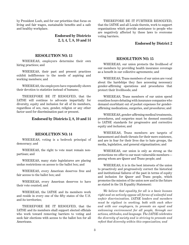by President Loeb, and for our priorities that focus on living and fair wages, sustainable benefits and a safe and healthy workplace.

> **Endorsed by Districts 2, 3, 4, 7, 8, 10 and 14**

#### **RESOLUTION NO. 13**

WHEREAS, employers determine their own hiring practices; and

WHEREAS, their past and present practices exhibit indifference to the needs of aspiring and working members; and

WHEREAS, the employers have repeatedly shown their devotion to statistics instead of humans;

THEREFORE BE IT RESOLVED, that the IATSE will continue to advocate impartially for diversity, equity and inclusion for all of its members, regardless of sex, race, gender, religion or any other factor used for discrimination past or present.

#### **Endorsed by Districts 2, 8, 10 and 14**

#### **RESOLUTION NO. 14**

WHEREAS, voting is a bedrock principal of democracy; and

WHEREAS, the right to vote must remain nonpartisan; and

WHEREAS, many state legislatures are placing undue restrictions on access to the ballot box; and

WHEREAS, every American deserves free and fair access to the ballot box; and

WHEREAS, every American deserves to have their vote counted; and

WHEREAS, the IATSE and its members work and reside in every one of the fifty states of the U.S. and its territories;

THEREFORE BE IT RESOLVED, that the IATSE and its members shall support elected officials who work toward removing barriers to voting and seek fair elections with access to the ballot box for all Americans.

THEREFORE BE IT FURTHER RESOLVED, that the IATSE and all Locals therein, work to support organizations which provide assistance to people who are negatively affected by these laws to overcome voting barriers.

#### **Endorsed by District 2**

# **RESOLUTION NO. 15**

WHEREAS, our union protects the livelihood of our members by providing health insurance coverage as a benefit in our collective agreements; and

WHEREAS, Trans members of our union are vocal about the hardships they face accessing necessary gender-affirming operations and procedures that protect their livelihoods; and

WHEREAS, Trans members of our union spend countless hours debating with insurance companies who demand exorbitant out of pocket expenses for genderaffirming medications, surgeries, and procedures; and

WHEREAS, gender-affirming medical treatments, procedures, and surgeries must be deemed essential to IATSE standards for progressive and corrective equity and inclusion; and

WHEREAS, Trans members are targets of harassment and death threats for their mere existence, and are in fear for their lives due to hate groups, the media, legislation, and general stigmatization; and

WHEREAS, our union is only as strong as the protections we offer to our most vulnerable members among whom are Queer and Trans people; and

WHEREAS, it is in the best interests of the union to proactively and progressively correct the historical and institutional failures of the past in terms of equity and inclusion for Queer and Trans people, which promotes the mission of the union now and in the future as stated in the IA Equality Statement:

*We believe that equality for all is a basic human right and we actively oppose all forms of unlawful and unfair discrimination. IATSE leaders and members must be vigilant in working, both with each other and with our employers, to promote an equal and welcoming environment for all people, through our actions, attitudes, and language. The IATSE celebrates the diversity of society and is striving to promote and reflect that diversity within this organization; and*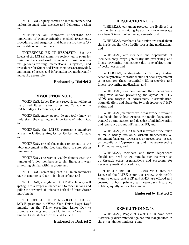WHEREAS, equity cannot be left to chance, and leadership must take decisive and deliberate action; and

WHEREAS, our members understand the importance of gender-affirming medical treatments, procedures, and surgeries that help ensure the safety and livelihood our members;

THEREFORE BE IT RESOLVED, that the Locals of the IATSE commit to review health plans for their members and work to include robust coverage for gender-affirming medications, surgeries, and procedures for Queer and Trans members are provided, and means of access and information are made readily and easily accessible.

# **Endorsed by District 2**

# **RESOLUTION NO. 16**

WHEREAS, Labor Day is a recognized holiday in the United States, its territories, and Canada as the first Monday in September; and

WHEREAS, many people do not truly know or understand the meaning and importance of Labor Day; and

WHEREAS, the IATSE represents members across the United States, its territories, and Canada; and

WHEREAS, one of the main components of the labor movement is the fact that there is strength in numbers; and

WHEREAS, one way to visibly demonstrate the number of Union members is to simultaneously wear something similar within a group; and

WHEREAS, something that all Union members have in common is their union logo or bug; and

WHEREAS, a single act of IATSE solidarity will spotlight to a larger audience and to other unions and guilds the strength of unions in both the United States and Canada.

THEREFORE BE IT RESOLVED, that the IATSE promotes a "Wear Your Union Logo Day" annually on the Friday preceding Labor Day to promote a strong and proud Union workforce in the United States, its territories, and Canada.

#### **Endorsed by District 2**

# **RESOLUTION NO. 17**

WHEREAS, our union protects the livelihood of our members by providing health insurance coverage as a benefit in our collective agreements; and

WHEREAS, members of our union are vocal about the hardships they face for life-preserving medications; and

WHEREAS, our members and dependents of members may forgo potentially life-preserving and illness-preventing medications due to exorbitant outof-pocket costs; and

WHEREAS, a dependent's primary and/or secondary insurance status should not be an impediment to access for these potentially life-preserving and illness-preventing medications; and

WHEREAS, members and/or their dependents living with and/or preventing the spread of HIV/ AIDS are targets of harassment, discrimination, stigmatization, and abuse due to their (perceived) HIV status; and

WHEREAS, members are in fear for their lives and livelihoods due to hate groups, the media, legislation, general stigmatization, and decades of misinformation and ignorance around HIV and AIDS; and

WHEREAS, it is in the best interests of the union to make widely available, without unnecessary or redundant barriers, processes, or procedures, access to potentially life-preserving and illness-preventing HIV medications; and

WHEREAS, members and their dependents should not need to go outside our insurance or go through other organizations and programs for necessary medical procedures;

THEREFORE BE IT RESOLVED, that the Locals of the IATSE commit to review their health plans to ensure that PEP and PrEP are offered and covered to both primary and secondary insurance holders, equally and as the standard.

# **Endorsed by District 2**

#### **RESOLUTION NO. 18**

WHEREAS, People of Color (POC) have been historically discriminated against and marginalized in the entertainment industry; and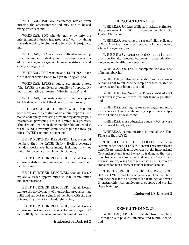WHEREAS, POC are frequently barred from entering the entertainment industry due to biased hiring practices; and

WHEREAS, POC who do gain entry into the entertainment industry face greater difficulty attaining upwards mobility in studios due to systemic prejudice; and

WHEREAS, POC face greater difficulties entering the entertainment industry due to systemic racism in education, the justice system, financial institutions, and society at large; and

WHEREAS, POC women and LGBTQIA+ face the aforementioned issues to a greater degree; and

WHEREAS, IATSE's equity statement states, "The IATSE is committed to equality of opportunity and to eliminating all forms of discrimination"; and

WHEREAS, the leadership and membership of IATSE does not reflect the diversity of our society;

THEREFORE BE IT RESOLVED, that all Locals explore the creation of an annual report in the month of January consisting of voluntary demographic information pertaining but not limited to age, race, ethnicity and gender in their membership and send it to the IATSE Diversity Committee to publish through official IATSE communications; and

BE IT FURTHER RESOLVED, Locals remind members that the IATSE Safety Hotline coverage includes workplace harassment, including but not limited to racism, sexism, homophobia, etc.;

BE IT FURTHER RESOLVED, that all Locals explore anti-bias and anti-racist training for their membership;

BE IT FURTHER RESOLVED, that all Locals explore outreach opportunities to POC communities and organizations;

BE IT FURTHER RESOLVED, that all Locals explore the development of mentorship programs that uplift and support marginalized members with the aim of increasing diversity in leadership roles;

BE IT FURTHER RESOLVED, that all Locals explore supporting organizations that encourage POC and LGBTQIA+ inclusion in entertainment careers.

#### **Endorsed by District 2**

### **RESOLUTION NO. 19**

WHEREAS, UCLA's Williams Institute estimates there are over 1.4 million transgender people in the United States; and

WHEREAS, according to a recent Gallup poll, only 31% of Americans say they personally know someone who is transgender; and

WHEREAS, transgender people are disproportionally affected by poverty, discrimination, violence, and healthcare issues; and

WHEREAS, the IATSE champions the diversity of its membership;

WHEREAS, continued education and awareness remains vital to our Membership on issues related to our trans and non-binary kin; and

WHEREAS, the New York Times identified 2021 as the worst year on record for anti-trans legislation; and

WHEREAS, training makes us stronger and more inclusive as a Union while setting a positive example for the Union as a whole; and

WHEREAS, more education equals a better work environment for all; and

WHEREAS, communication is one of the Four Pillars of the IATSE;

THEREFORE BE IT RESOLVED, that it is recommended that all IATSE General Executive Board and Officers, and Delegates convened at the International Convention attend trans inclusivity training so that they may become more sensitive and aware of our Union kin who are exploring their gender identity, or who are transgender, non-binary, or gender nonconforming.

THEREFORE BE IT FURTHER RESOLVED, that the IATSE and Locals encourage their members and other workers to attend these trainings and work in partnership with employers to support and provide these trainings.

# **Endorsed By District 2**

# **RESOLUTION NO. 20**

WHEREAS, COVID-19 presented to our members a threat to our physical, financial and mental health; and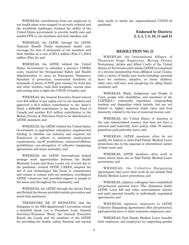WHEREAS, contributions from our employers to our health plans were stopped or severely reduced and the worldwide challenges strained the ability of the United States government to provide health care and needed PPE to our members and their families; and

WHEREAS, the IATSE through the IATSE National Benefit Funds maintained health care coverage for tens of thousands of our members and their families at a cost of \$75.4 million (Plan C), \$10.2 million (Plan A); and

WHEREAS, the IATSE lobbied the United States Government to subsidize a person's COBRA costs, required the Occupational Safety and Health Administration to issue an Emergency Temporary Standard of protection, constructed hundreds of thousands of pieces of PPE gear (masks) for front line and other workers, built field hospitals, vaccine sites and testing sites to fight the COVID-19 battle; and

WHEREAS, the General Executive Board waived over \$13 million in per capita cost to our members and approved a \$1.0 million contribution to the Actor's Fund, a \$500,000 contribution to the Actors Fund of Canada and another \$1.0 million contribution to the Motion Picture & Television Fund to be distributed to IATSE members; and

WHEREAS, the IATSE lobbied the United States Government to appropriate emergency supplemental funding to stabilize our industry and required our Employers to adhere to minimum employment requirements, layoff prohibitions, outsource/offshore prohibitions, non-abrogation of collective bargaining agreements and union neutrality; and

WHEREAS, the IATSE International helped arrange work opportunities between the Studio Mechanic Locals and those Locals out of work due to the pandemic, created IATSE CARES, adopted the use of new technologies like Zoom to communicate and remain in contact with our members, coordinated IATSE volunteers that provided support to people in the union and throughout the community; and

WHEREAS, the IATSE through the Actors Fund and Behind the Scenes provided suicide prevention and metal help assistance;

THEREFORE BE IT RESOLVED, that the Delegates to the 69th Quadrennial Convention extend a heartfelt thank you to President Loeb, General Secretary-Treasurer Wood, the General Executive Board, the Locals and the members of the IATSE for providing the health, safety, financial and mental help needs to battle the unprecedented COVID-19 pandemic.

> **Endorsed by Districts 2, 3, 4, 7, 8, 10, 11 and 12**

#### **RESOLUTION NO. 21**

WHEREAS, the International Alliance of Theatrical Stage Employees, Moving Picture Technicians, Artists and Allied Crafts of the United States, its Territories and Canada (IATSE) is comprised of a diverse membership from affiliated Local Unions, with a variety of family care needs including: parental leave for newborn, adoptive, or foster children; elder care; self-care; and caregiving for ailing family members; and

WHEREAS, Black, Indigenous and People of Color, people with disabilities, and members of the LGBTQIA+ community experience compounding burdens and disparities which include, but are not limited to, higher maternal death rates and food insecurity related to the loss of maternal income; and

WHEREAS, the United States of America is the only industrialized country that does not have a national paid maternity leave policy, while 70 nations guarantee paid paternity leave; and

WHEREAS, IATSE members often do not qualify for federal or state Paid Family Medical Leave protections due to the seasonal or intermittent nature of their work; and

WHEREAS, IATSE members often work in states where there are no Paid Family Medical Leave protections; and

WHEREAS, the Collective Bargaining Agreements that cover their work do not include Paid Family Medical Leave protections; and

WHEREAS, industry colleagues have established job-protected parental leave (The Animation Guild, IATSE Local 839 and other entertainment unions) and paid parental benefits in individually negotiated agreements; and

WHEREAS, signatory employers to IATSE Collective Bargaining Agreements offer job-protected, paid parental leave to their corporate employees; and

WHEREAS, Paid Family Medical Leave benefits both employers and employees by supporting gender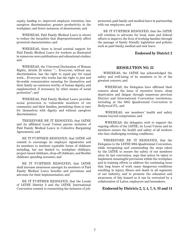equity, leading to: improved employee retention; less caregiver discrimination; greater productivity in the workplace; and fewer instances of absenteeism; and

WHEREAS, Paid Family Medical Leave is shown to reduce the inequities that disproportionately affect protected characteristics; and

WHEREAS, there is broad societal support for Paid Family Medical Leave for workers as illustrated in numerous news publications and educational studies; and

WHEREAS, the Universal Declaration of Human Rights, Article 23 states: "... Everyone, without any discrimination, has the right to equal pay for equal work... Everyone who works has the right to just and favorable remuneration ensuring for themselves and their family an existence worthy of human dignity, and supplemented, if necessary, by other means of social protection"; and

WHEREAS, Paid Family Medical Leave provides social protection to vulnerable members of our community and their families, permitting them to care for themselves with dignity and without caregiver discrimination;

THEREFORE BE IT RESOLVED, that IATSE and its affiliated Local Unions pursue inclusion of Paid Family Medical Leave in Collective Bargaining Agreements; and

BE IT FURTHER RESOLVED, that IATSE will commit to encourage its employer signatories and its members to institute equitable forms of childcare including, but not limited to, workplace childcare, project-based childcare, drop-off childcare, and flexible childcare spending accounts; and

BE IT FURTHER RESOLVED, that IATSE shall increase awareness amongst its members of Paid Family Medical Leave benefits and provisions and advocate for their implementation; and

BE IT FURTHER RESOLVED, that the Locals of IATSE District 2 and the IATSE International Convention commit to researching the inclusion of jobprotected, paid family and medical leave in partnership with our employers; and

BE IT FURTHER RESOLVED, that the IATSE will continue to advocate for local, state and federal efforts to improve the lives of working families through the passage of family friendly legislation and policies such as paid family, medical and sick leave.

# **Endorsed by District 2**

#### **RESOLUTION NO. 22**

WHEREAS, the IATSE has acknowledged the safety and well-being of its members to be of the greatest concern; and

WHEREAS, the Delegates have affirmed their concern about the issue of excessive hours, sleep deprivation and fatigue through numerous previous District and International Convention resolutions, including at the 68th Quadrennial Convention in Hollywood FL; and

WHEREAS, our members' health and safety remain beyond compromise; and

WHEREAS, the delegates wish to support the ongoing efforts of the IATSE, its Local Unions and its members ensure the health and safety of all workers who face challenging working conditions;

THEREFORE BE IT RESOLVED, that the Delegates to the IATSE 69th Quadrennial Convention, while recognizing and commending the steps taken by the IATSE to ensure the safety of our members since its last convention, urge that action be taken to implement meaningful provisions within the workplace and in training efforts to address the continuing issue that long hours of work cause dangerous conditions resulting in injury, illness and death in all segments of our industry, and to promote the education and awareness of this hazard so it can be corrected by a collaboration of Labor, employers and lawmakers.

# **Endorsed by Districts 2, 3, 4, 7, 8, 10 and 14**